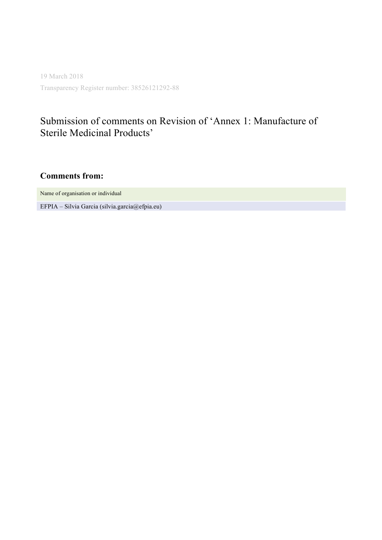19 March 2018 Transparency Register number: 38526121292-88

# Submission of comments on Revision of 'Annex 1: Manufacture of Sterile Medicinal Products'

**Comments from:**

Name of organisation or individual

EFPIA – Silvia Garcia (silvia.garcia@efpia.eu)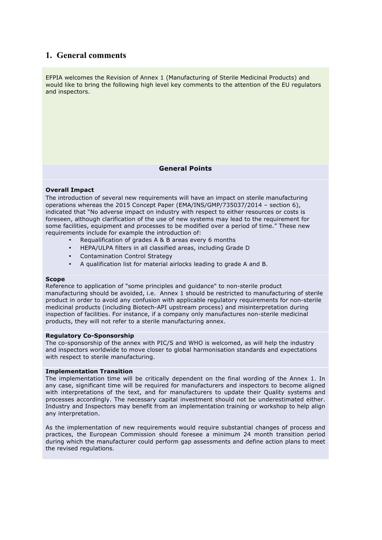# **1. General comments**

EFPIA welcomes the Revision of Annex 1 (Manufacturing of Sterile Medicinal Products) and would like to bring the following high level key comments to the attention of the EU regulators and inspectors.

## **General Points**

### **Overall Impact**

The introduction of several new requirements will have an impact on sterile manufacturing operations whereas the 2015 Concept Paper (EMA/INS/GMP/735037/2014 – section 6), indicated that "No adverse impact on industry with respect to either resources or costs is foreseen, although clarification of the use of new systems may lead to the requirement for some facilities, equipment and processes to be modified over a period of time." These new requirements include for example the introduction of:

- Requalification of grades A & B areas every 6 months
- HEPA/ULPA filters in all classified areas, including Grade D
- Contamination Control Strategy
- A qualification list for material airlocks leading to grade A and B.

### **Scope**

Reference to application of "some principles and guidance" to non-sterile product manufacturing should be avoided, i.e. Annex 1 should be restricted to manufacturing of sterile product in order to avoid any confusion with applicable regulatory requirements for non-sterile medicinal products (including Biotech-API upstream process) and misinterpretation during inspection of facilities. For instance, if a company only manufactures non-sterile medicinal products, they will not refer to a sterile manufacturing annex.

### **Regulatory Co-Sponsorship**

The co-sponsorship of the annex with PIC/S and WHO is welcomed, as will help the industry and inspectors worldwide to move closer to global harmonisation standards and expectations with respect to sterile manufacturing.

### **Implementation Transition**

The implementation time will be critically dependent on the final wording of the Annex 1. In any case, significant time will be required for manufacturers and inspectors to become aligned with interpretations of the text, and for manufacturers to update their Quality systems and processes accordingly. The necessary capital investment should not be underestimated either. Industry and Inspectors may benefit from an implementation training or workshop to help align any interpretation.

As the implementation of new requirements would require substantial changes of process and practices, the European Commission should foresee a minimum 24 month transition period during which the manufacturer could perform gap assessments and define action plans to meet the revised regulations.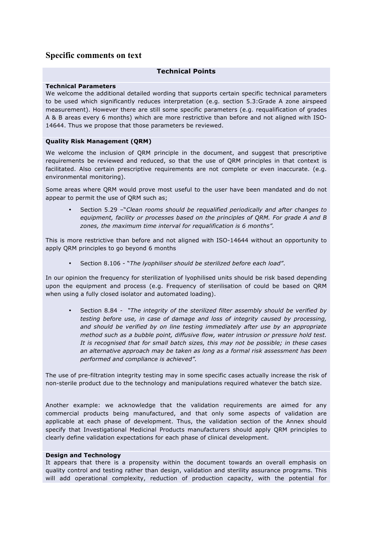# **Specific comments on text**

## **Technical Points**

### **Technical Parameters**

We welcome the additional detailed wording that supports certain specific technical parameters to be used which significantly reduces interpretation (e.g. section 5.3:Grade A zone airspeed measurement). However there are still some specific parameters (e.g. requalification of grades A & B areas every 6 months) which are more restrictive than before and not aligned with ISO-14644. Thus we propose that those parameters be reviewed.

### **Quality Risk Management (QRM)**

We welcome the inclusion of QRM principle in the document, and suggest that prescriptive requirements be reviewed and reduced, so that the use of QRM principles in that context is facilitated. Also certain prescriptive requirements are not complete or even inaccurate. (e.g. environmental monitoring).

Some areas where QRM would prove most useful to the user have been mandated and do not appear to permit the use of QRM such as;

• Section 5.29 –"*Clean rooms should be requalified periodically and after changes to equipment, facility or processes based on the principles of QRM. For grade A and B zones, the maximum time interval for requalification is 6 months".* 

This is more restrictive than before and not aligned with ISO-14644 without an opportunity to apply QRM principles to go beyond 6 months

• Section 8.106 - "*The lyophiliser should be sterilized before each load"*.

In our opinion the frequency for sterilization of lyophilised units should be risk based depending upon the equipment and process (e.g. Frequency of sterilisation of could be based on QRM when using a fully closed isolator and automated loading).

• Section 8.84 *- "The integrity of the sterilized filter assembly should be verified by testing before use, in case of damage and loss of integrity caused by processing, and should be verified by on line testing immediately after use by an appropriate method such as a bubble point, diffusive flow, water intrusion or pressure hold test. It is recognised that for small batch sizes, this may not be possible; in these cases an alternative approach may be taken as long as a formal risk assessment has been performed and compliance is achieved".* 

The use of pre-filtration integrity testing may in some specific cases actually increase the risk of non-sterile product due to the technology and manipulations required whatever the batch size.

Another example: we acknowledge that the validation requirements are aimed for any commercial products being manufactured, and that only some aspects of validation are applicable at each phase of development. Thus, the validation section of the Annex should specify that Investigational Medicinal Products manufacturers should apply QRM principles to clearly define validation expectations for each phase of clinical development.

### **Design and Technology**

It appears that there is a propensity within the document towards an overall emphasis on quality control and testing rather than design, validation and sterility assurance programs. This will add operational complexity, reduction of production capacity, with the potential for